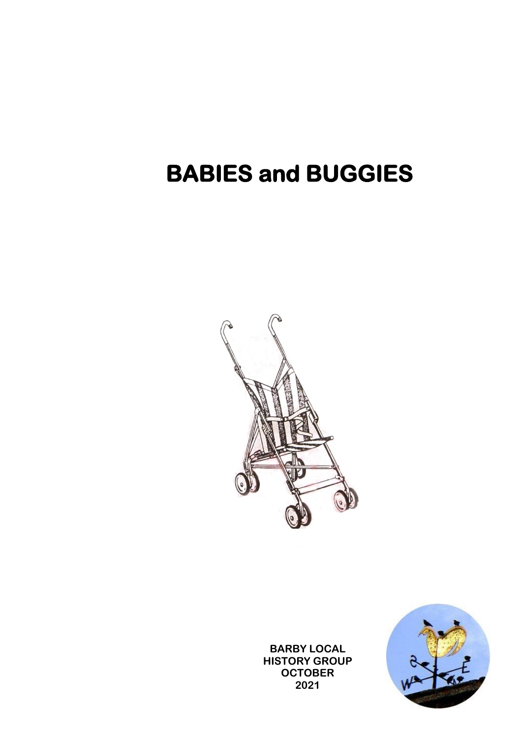## **BABIES and BUGGIES**



**BARBY LOCAL HISTORY GROUP OCTOBER 2021**

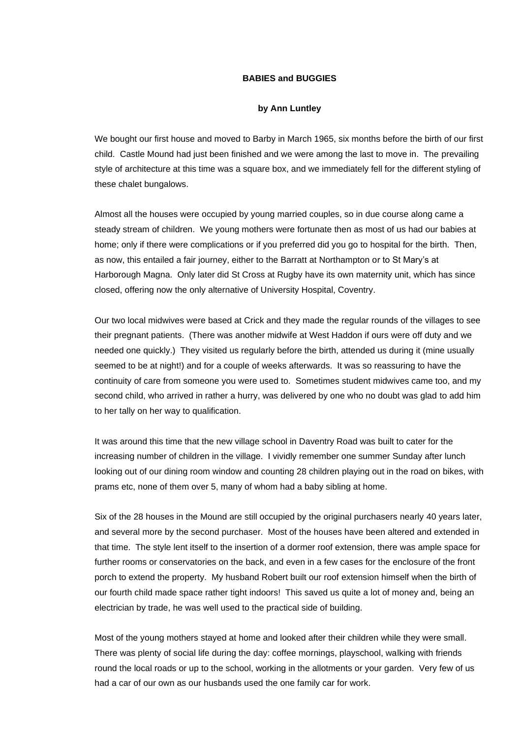## **BABIES and BUGGIES**

## **by Ann Luntley**

We bought our first house and moved to Barby in March 1965, six months before the birth of our first child. Castle Mound had just been finished and we were among the last to move in. The prevailing style of architecture at this time was a square box, and we immediately fell for the different styling of these chalet bungalows.

Almost all the houses were occupied by young married couples, so in due course along came a steady stream of children. We young mothers were fortunate then as most of us had our babies at home; only if there were complications or if you preferred did you go to hospital for the birth. Then, as now, this entailed a fair journey, either to the Barratt at Northampton or to St Mary's at Harborough Magna. Only later did St Cross at Rugby have its own maternity unit, which has since closed, offering now the only alternative of University Hospital, Coventry.

Our two local midwives were based at Crick and they made the regular rounds of the villages to see their pregnant patients. (There was another midwife at West Haddon if ours were off duty and we needed one quickly.) They visited us regularly before the birth, attended us during it (mine usually seemed to be at night!) and for a couple of weeks afterwards. It was so reassuring to have the continuity of care from someone you were used to. Sometimes student midwives came too, and my second child, who arrived in rather a hurry, was delivered by one who no doubt was glad to add him to her tally on her way to qualification.

It was around this time that the new village school in Daventry Road was built to cater for the increasing number of children in the village. I vividly remember one summer Sunday after lunch looking out of our dining room window and counting 28 children playing out in the road on bikes, with prams etc, none of them over 5, many of whom had a baby sibling at home.

Six of the 28 houses in the Mound are still occupied by the original purchasers nearly 40 years later, and several more by the second purchaser. Most of the houses have been altered and extended in that time. The style lent itself to the insertion of a dormer roof extension, there was ample space for further rooms or conservatories on the back, and even in a few cases for the enclosure of the front porch to extend the property. My husband Robert built our roof extension himself when the birth of our fourth child made space rather tight indoors! This saved us quite a lot of money and, being an electrician by trade, he was well used to the practical side of building.

Most of the young mothers stayed at home and looked after their children while they were small. There was plenty of social life during the day: coffee mornings, playschool, walking with friends round the local roads or up to the school, working in the allotments or your garden. Very few of us had a car of our own as our husbands used the one family car for work.